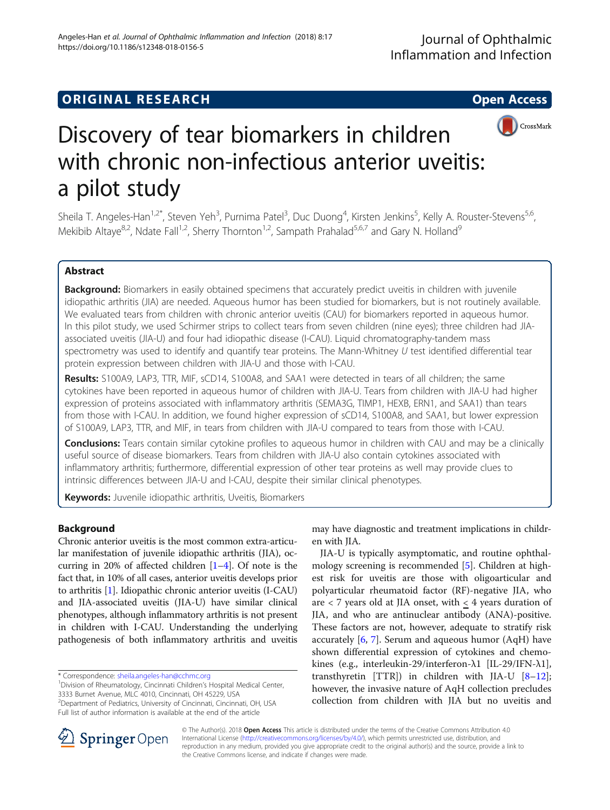## **ORIGINAL RESEARCH CONSUMING ACCESS**



# Discovery of tear biomarkers in children with chronic non-infectious anterior uveitis: a pilot study

Sheila T. Angeles-Han<sup>1,2\*</sup>, Steven Yeh<sup>3</sup>, Purnima Patel<sup>3</sup>, Duc Duong<sup>4</sup>, Kirsten Jenkins<sup>5</sup>, Kelly A. Rouster-Stevens<sup>5,6</sup>, Mekibib Altaye<sup>8,2</sup>, Ndate Fall<sup>1,2</sup>, Sherry Thornton<sup>1,2</sup>, Sampath Prahalad<sup>5,6,7</sup> and Gary N. Holland<sup>9</sup>

## Abstract

Background: Biomarkers in easily obtained specimens that accurately predict uveitis in children with juvenile idiopathic arthritis (JIA) are needed. Aqueous humor has been studied for biomarkers, but is not routinely available. We evaluated tears from children with chronic anterior uveitis (CAU) for biomarkers reported in aqueous humor. In this pilot study, we used Schirmer strips to collect tears from seven children (nine eyes); three children had JIAassociated uveitis (JIA-U) and four had idiopathic disease (I-CAU). Liquid chromatography-tandem mass spectrometry was used to identify and quantify tear proteins. The Mann-Whitney U test identified differential tear protein expression between children with JIA-U and those with I-CAU.

Results: S100A9, LAP3, TTR, MIF, sCD14, S100A8, and SAA1 were detected in tears of all children; the same cytokines have been reported in aqueous humor of children with JIA-U. Tears from children with JIA-U had higher expression of proteins associated with inflammatory arthritis (SEMA3G, TIMP1, HEXB, ERN1, and SAA1) than tears from those with I-CAU. In addition, we found higher expression of sCD14, S100A8, and SAA1, but lower expression of S100A9, LAP3, TTR, and MIF, in tears from children with JIA-U compared to tears from those with I-CAU.

Conclusions: Tears contain similar cytokine profiles to aqueous humor in children with CAU and may be a clinically useful source of disease biomarkers. Tears from children with JIA-U also contain cytokines associated with inflammatory arthritis; furthermore, differential expression of other tear proteins as well may provide clues to intrinsic differences between JIA-U and I-CAU, despite their similar clinical phenotypes.

Keywords: Juvenile idiopathic arthritis, Uveitis, Biomarkers

## Background

Chronic anterior uveitis is the most common extra-articular manifestation of juvenile idiopathic arthritis (JIA), occurring in 20% of affected children [[1](#page-6-0)–[4](#page-6-0)]. Of note is the fact that, in 10% of all cases, anterior uveitis develops prior to arthritis [\[1\]](#page-6-0). Idiopathic chronic anterior uveitis (I-CAU) and JIA-associated uveitis (JIA-U) have similar clinical phenotypes, although inflammatory arthritis is not present in children with I-CAU. Understanding the underlying pathogenesis of both inflammatory arthritis and uveitis

\* Correspondence: [sheila.angeles-han@cchmc.org](mailto:sheila.angeles-han@cchmc.org) <sup>1</sup>

Full list of author information is available at the end of the article

may have diagnostic and treatment implications in children with JIA.

JIA-U is typically asymptomatic, and routine ophthalmology screening is recommended [\[5](#page-6-0)]. Children at highest risk for uveitis are those with oligoarticular and polyarticular rheumatoid factor (RF)-negative JIA, who are  $<$  7 years old at JIA onset, with  $\leq$  4 years duration of JIA, and who are antinuclear antibody (ANA)-positive. These factors are not, however, adequate to stratify risk accurately  $[6, 7]$  $[6, 7]$  $[6, 7]$  $[6, 7]$ . Serum and aqueous humor (AqH) have shown differential expression of cytokines and chemokines (e.g., interleukin-29/interferon-λ1 [IL-29/IFN-λ1], transthyretin [TTR]) in children with JIA-U  $[8-12]$  $[8-12]$  $[8-12]$  $[8-12]$  $[8-12]$ ; however, the invasive nature of AqH collection precludes collection from children with JIA but no uveitis and



© The Author(s). 2018 Open Access This article is distributed under the terms of the Creative Commons Attribution 4.0 International License ([http://creativecommons.org/licenses/by/4.0/\)](http://creativecommons.org/licenses/by/4.0/), which permits unrestricted use, distribution, and reproduction in any medium, provided you give appropriate credit to the original author(s) and the source, provide a link to the Creative Commons license, and indicate if changes were made.

<sup>&</sup>lt;sup>1</sup> Division of Rheumatology, Cincinnati Children's Hospital Medical Center, 3333 Burnet Avenue, MLC 4010, Cincinnati, OH 45229, USA

<sup>&</sup>lt;sup>2</sup>Department of Pediatrics, University of Cincinnati, Cincinnati, OH, USA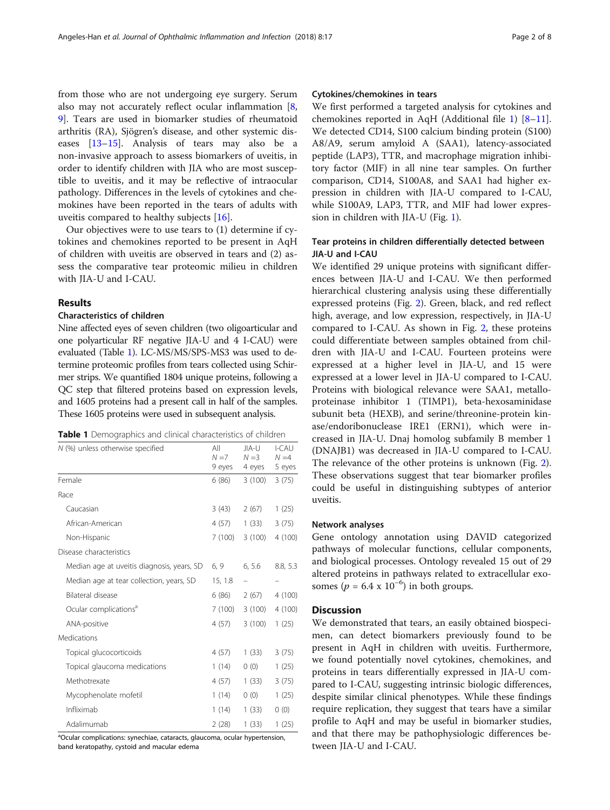from those who are not undergoing eye surgery. Serum also may not accurately reflect ocular inflammation [\[8](#page-6-0), [9\]](#page-6-0). Tears are used in biomarker studies of rheumatoid arthritis (RA), Sjögren's disease, and other systemic diseases [[13](#page-7-0)–[15](#page-7-0)]. Analysis of tears may also be a non-invasive approach to assess biomarkers of uveitis, in order to identify children with JIA who are most susceptible to uveitis, and it may be reflective of intraocular pathology. Differences in the levels of cytokines and chemokines have been reported in the tears of adults with uveitis compared to healthy subjects [[16\]](#page-7-0).

Our objectives were to use tears to (1) determine if cytokines and chemokines reported to be present in AqH of children with uveitis are observed in tears and (2) assess the comparative tear proteomic milieu in children with JIA-U and I-CAU.

## Results

#### Characteristics of children

Nine affected eyes of seven children (two oligoarticular and one polyarticular RF negative JIA-U and 4 I-CAU) were evaluated (Table 1). LC-MS/MS/SPS-MS3 was used to determine proteomic profiles from tears collected using Schirmer strips. We quantified 1804 unique proteins, following a QC step that filtered proteins based on expression levels, and 1605 proteins had a present call in half of the samples. These 1605 proteins were used in subsequent analysis.

|  | Table 1 Demographics and clinical characteristics of children |  |  |  |
|--|---------------------------------------------------------------|--|--|--|
|--|---------------------------------------------------------------|--|--|--|

| N (%) unless otherwise specified           | All<br>$N = 7$ | JIA-U<br>$N = 3$ | I-CAU<br>$N = 4$ |
|--------------------------------------------|----------------|------------------|------------------|
|                                            | 9 eyes         | 4 eyes           | 5 eyes           |
| Female                                     | 6(86)          | 3 (100)          | 3(75)            |
| Race                                       |                |                  |                  |
| Caucasian                                  | 3(43)          | 2(67)            | 1(25)            |
| African-American                           | 4 (57)         | 1(33)            | 3(75)            |
| Non-Hispanic                               | 7 (100)        | 3(100)           | 4(100)           |
| Disease characteristics                    |                |                  |                  |
| Median age at uveitis diagnosis, years, SD | 6, 9           | 6, 5.6           | 8.8, 5.3         |
| Median age at tear collection, years, SD   | 15, 1.8        |                  |                  |
| Bilateral disease                          | 6(86)          | 2(67)            | 4 (100)          |
| Ocular complications <sup>a</sup>          | 7 (100)        | 3(100)           | 4(100)           |
| ANA-positive                               | 4(57)          | 3(100)           | 1(25)            |
| Medications                                |                |                  |                  |
| Topical glucocorticoids                    | 4(57)          | 1(33)            | 3(75)            |
| Topical glaucoma medications               | 1(14)          | 0(0)             | 1(25)            |
| Methotrexate                               | 4 (57)         | 1(33)            | 3(75)            |
| Mycophenolate mofetil                      | 1(14)          | 0(0)             | 1(25)            |
| Infliximab                                 | 1(14)          | 1(33)            | 0(0)             |
| Adalimumab                                 | 2(28)          | 1(33)            | 1(25)            |

<sup>a</sup>Ocular complications: synechiae, cataracts, glaucoma, ocular hypertension, band keratopathy, cystoid and macular edema

## Cytokines/chemokines in tears

We first performed a targeted analysis for cytokines and chemokines reported in AqH (Additional file [1](#page-6-0)) [[8](#page-6-0)–[11](#page-7-0)]. We detected CD14, S100 calcium binding protein (S100) A8/A9, serum amyloid A (SAA1), latency-associated peptide (LAP3), TTR, and macrophage migration inhibitory factor (MIF) in all nine tear samples. On further comparison, CD14, S100A8, and SAA1 had higher expression in children with JIA-U compared to I-CAU, while S100A9, LAP3, TTR, and MIF had lower expression in children with JIA-U (Fig. [1](#page-2-0)).

## Tear proteins in children differentially detected between JIA-U and I-CAU

We identified 29 unique proteins with significant differences between JIA-U and I-CAU. We then performed hierarchical clustering analysis using these differentially expressed proteins (Fig. [2\)](#page-2-0). Green, black, and red reflect high, average, and low expression, respectively, in JIA-U compared to I-CAU. As shown in Fig. [2](#page-2-0), these proteins could differentiate between samples obtained from children with JIA-U and I-CAU. Fourteen proteins were expressed at a higher level in JIA-U, and 15 were expressed at a lower level in JIA-U compared to I-CAU. Proteins with biological relevance were SAA1, metalloproteinase inhibitor 1 (TIMP1), beta-hexosaminidase subunit beta (HEXB), and serine/threonine-protein kinase/endoribonuclease IRE1 (ERN1), which were increased in JIA-U. Dnaj homolog subfamily B member 1 (DNAJB1) was decreased in JIA-U compared to I-CAU. The relevance of the other proteins is unknown (Fig. [2](#page-2-0)). These observations suggest that tear biomarker profiles could be useful in distinguishing subtypes of anterior uveitis.

## Network analyses

Gene ontology annotation using DAVID categorized pathways of molecular functions, cellular components, and biological processes. Ontology revealed 15 out of 29 altered proteins in pathways related to extracellular exosomes ( $p = 6.4 \times 10^{-6}$ ) in both groups.

#### **Discussion**

We demonstrated that tears, an easily obtained biospecimen, can detect biomarkers previously found to be present in AqH in children with uveitis. Furthermore, we found potentially novel cytokines, chemokines, and proteins in tears differentially expressed in JIA-U compared to I-CAU, suggesting intrinsic biologic differences, despite similar clinical phenotypes. While these findings require replication, they suggest that tears have a similar profile to AqH and may be useful in biomarker studies, and that there may be pathophysiologic differences between JIA-U and I-CAU.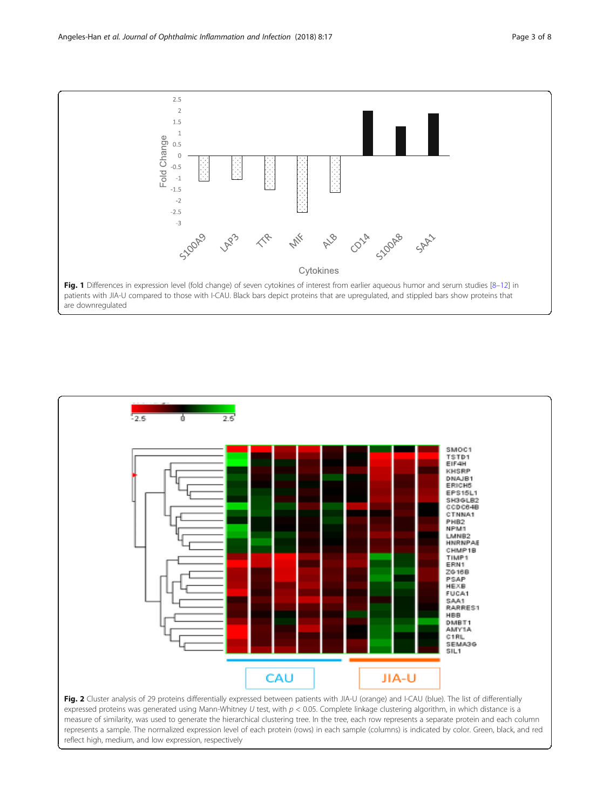<span id="page-2-0"></span>



measure of similarity, was used to generate the hierarchical clustering tree. In the tree, each row represents a separate protein and each column represents a sample. The normalized expression level of each protein (rows) in each sample (columns) is indicated by color. Green, black, and red reflect high, medium, and low expression, respectively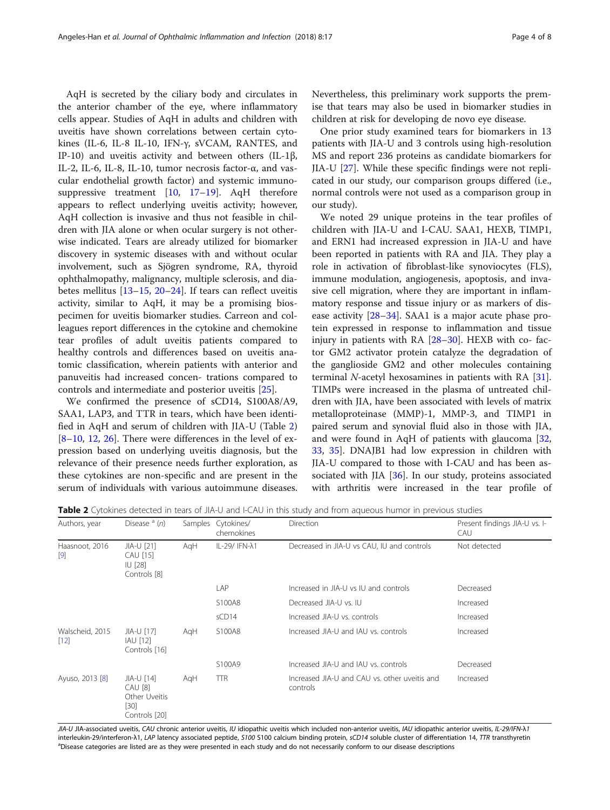AqH is secreted by the ciliary body and circulates in the anterior chamber of the eye, where inflammatory cells appear. Studies of AqH in adults and children with uveitis have shown correlations between certain cytokines (IL-6, IL-8 IL-10, IFN-γ, sVCAM, RANTES, and IP-10) and uveitis activity and between others (IL-1β, IL-2, IL-6, IL-8, IL-10, tumor necrosis factor-α, and vascular endothelial growth factor) and systemic immunosuppressive treatment  $[10, 17-19]$  $[10, 17-19]$  $[10, 17-19]$  $[10, 17-19]$  $[10, 17-19]$ . AqH therefore appears to reflect underlying uveitis activity; however, AqH collection is invasive and thus not feasible in children with JIA alone or when ocular surgery is not otherwise indicated. Tears are already utilized for biomarker discovery in systemic diseases with and without ocular involvement, such as Sjögren syndrome, RA, thyroid ophthalmopathy, malignancy, multiple sclerosis, and diabetes mellitus [\[13](#page-7-0)–[15,](#page-7-0) [20](#page-7-0)–[24\]](#page-7-0). If tears can reflect uveitis activity, similar to AqH, it may be a promising biospecimen for uveitis biomarker studies. Carreon and colleagues report differences in the cytokine and chemokine tear profiles of adult uveitis patients compared to healthy controls and differences based on uveitis anatomic classification, wherein patients with anterior and panuveitis had increased concen- trations compared to controls and intermediate and posterior uveitis [\[25](#page-7-0)].

We confirmed the presence of sCD14, S100A8/A9, SAA1, LAP3, and TTR in tears, which have been identified in AqH and serum of children with JIA-U (Table 2) [[8](#page-6-0)–[10,](#page-7-0) [12,](#page-7-0) [26](#page-7-0)]. There were differences in the level of expression based on underlying uveitis diagnosis, but the relevance of their presence needs further exploration, as these cytokines are non-specific and are present in the serum of individuals with various autoimmune diseases. Nevertheless, this preliminary work supports the premise that tears may also be used in biomarker studies in children at risk for developing de novo eye disease.

One prior study examined tears for biomarkers in 13 patients with JIA-U and 3 controls using high-resolution MS and report 236 proteins as candidate biomarkers for JIA-U [\[27](#page-7-0)]. While these specific findings were not replicated in our study, our comparison groups differed (i.e., normal controls were not used as a comparison group in our study).

We noted 29 unique proteins in the tear profiles of children with JIA-U and I-CAU. SAA1, HEXB, TIMP1, and ERN1 had increased expression in JIA-U and have been reported in patients with RA and JIA. They play a role in activation of fibroblast-like synoviocytes (FLS), immune modulation, angiogenesis, apoptosis, and invasive cell migration, where they are important in inflammatory response and tissue injury or as markers of disease activity [\[28](#page-7-0)–[34\]](#page-7-0). SAA1 is a major acute phase protein expressed in response to inflammation and tissue injury in patients with RA [\[28](#page-7-0)–[30\]](#page-7-0). HEXB with co- factor GM2 activator protein catalyze the degradation of the ganglioside GM2 and other molecules containing terminal *N*-acetyl hexosamines in patients with RA  $[31]$  $[31]$ . TIMPs were increased in the plasma of untreated children with JIA, have been associated with levels of matrix metalloproteinase (MMP)-1, MMP-3, and TIMP1 in paired serum and synovial fluid also in those with JIA, and were found in AqH of patients with glaucoma [[32](#page-7-0), [33,](#page-7-0) [35](#page-7-0)]. DNAJB1 had low expression in children with JIA-U compared to those with I-CAU and has been as-sociated with JIA [\[36](#page-7-0)]. In our study, proteins associated with arthritis were increased in the tear profile of

Table 2 Cytokines detected in tears of JIA-U and I-CAU in this study and from aqueous humor in previous studies

| Authors, year                        | Disease $(a)$                                                     |     | Samples Cytokines/<br>chemokines | <b>Direction</b>                                          | Present findings JIA-U vs. I-<br>CAU |
|--------------------------------------|-------------------------------------------------------------------|-----|----------------------------------|-----------------------------------------------------------|--------------------------------------|
| Haasnoot, 2016<br>$\lbrack 9\rbrack$ | JIA-U [21]<br>CAU [15]<br><b>IU</b> [28]<br>Controls [8]          | AqH | IL-29/ IFN-λ1                    | Decreased in JIA-U vs CAU, IU and controls                | Not detected                         |
|                                      |                                                                   |     | LAP                              | Increased in JIA-U vs IU and controls                     | Decreased                            |
|                                      |                                                                   |     | S100A8                           | Decreased JIA-U vs. IU                                    | Increased                            |
|                                      |                                                                   |     | SCD14                            | Increased JIA-U vs. controls                              | Increased                            |
| Walscheid, 2015<br>$[12]$            | JIA-U [17]<br>IAU [12]<br>Controls [16]                           | AqH | S100A8                           | Increased JIA-U and JAU vs. controls                      | Increased                            |
|                                      |                                                                   |     | S100A9                           | Increased JIA-U and IAU vs. controls                      | Decreased                            |
| Ayuso, 2013 [8]                      | JIA-U [14]<br>CAU [8]<br>Other Uveitis<br>$[30]$<br>Controls [20] | AqH | <b>TTR</b>                       | Increased JIA-U and CAU vs. other uveitis and<br>controls | Increased                            |

JIA-U JIA-associated uveitis, CAU chronic anterior uveitis, IU idiopathic uveitis which included non-anterior uveitis, IAU idiopathic anterior uveitis, IL-29/IFN-11 interleukin-29/interferon- $\lambda$ 1, LAP latency associated peptide, S100 S100 calcium binding protein, sCD14 soluble cluster of differentiation 14, TTR transthyretin aDisease categories are listed are as they were presented in each study and do not necessarily conform to our disease descriptions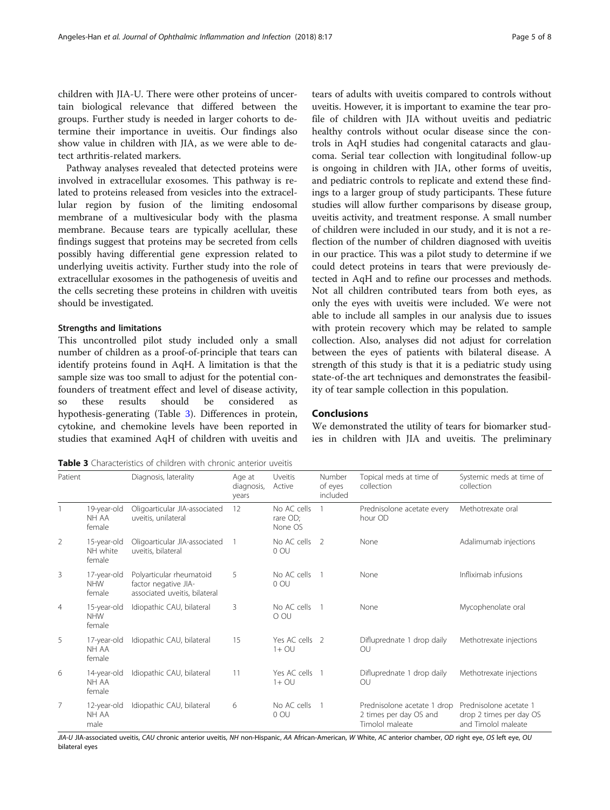children with JIA-U. There were other proteins of uncertain biological relevance that differed between the groups. Further study is needed in larger cohorts to determine their importance in uveitis. Our findings also show value in children with JIA, as we were able to detect arthritis-related markers.

Pathway analyses revealed that detected proteins were involved in extracellular exosomes. This pathway is related to proteins released from vesicles into the extracellular region by fusion of the limiting endosomal membrane of a multivesicular body with the plasma membrane. Because tears are typically acellular, these findings suggest that proteins may be secreted from cells possibly having differential gene expression related to underlying uveitis activity. Further study into the role of extracellular exosomes in the pathogenesis of uveitis and the cells secreting these proteins in children with uveitis should be investigated.

#### Strengths and limitations

This uncontrolled pilot study included only a small number of children as a proof-of-principle that tears can identify proteins found in AqH. A limitation is that the sample size was too small to adjust for the potential confounders of treatment effect and level of disease activity, so these results should be considered hypothesis-generating (Table 3). Differences in protein, cytokine, and chemokine levels have been reported in studies that examined AqH of children with uveitis and tears of adults with uveitis compared to controls without uveitis. However, it is important to examine the tear profile of children with JIA without uveitis and pediatric healthy controls without ocular disease since the controls in AqH studies had congenital cataracts and glaucoma. Serial tear collection with longitudinal follow-up is ongoing in children with JIA, other forms of uveitis, and pediatric controls to replicate and extend these findings to a larger group of study participants. These future studies will allow further comparisons by disease group, uveitis activity, and treatment response. A small number of children were included in our study, and it is not a reflection of the number of children diagnosed with uveitis in our practice. This was a pilot study to determine if we could detect proteins in tears that were previously detected in AqH and to refine our processes and methods. Not all children contributed tears from both eyes, as only the eyes with uveitis were included. We were not able to include all samples in our analysis due to issues with protein recovery which may be related to sample collection. Also, analyses did not adjust for correlation between the eyes of patients with bilateral disease. A strength of this study is that it is a pediatric study using state-of-the art techniques and demonstrates the feasibility of tear sample collection in this population.

## Conclusions

Number

We demonstrated the utility of tears for biomarker studies in children with JIA and uveitis. The preliminary

Systemic meds at time of

Topical meds at time of

Table 3 Characteristics of children with chronic anterior uveitis

Patient Diagnosis, laterality Age at

|                |                                     |                                                                                   | diagnosis,<br>years | Active                             | of eyes<br>included | collection                                                               | collection                                                               |
|----------------|-------------------------------------|-----------------------------------------------------------------------------------|---------------------|------------------------------------|---------------------|--------------------------------------------------------------------------|--------------------------------------------------------------------------|
|                | 19-year-old<br>NH AA<br>female      | Oligoarticular JIA-associated<br>uveitis, unilateral                              | 12                  | No AC cells<br>rare OD;<br>None OS |                     | Prednisolone acetate every<br>hour OD                                    | Methotrexate oral                                                        |
| $\overline{2}$ | 15-year-old<br>NH white<br>female   | Oligoarticular JIA-associated<br>uveitis, bilateral                               |                     | No AC cells<br>0 OU                | $\overline{2}$      | None                                                                     | Adalimumab injections                                                    |
| 3              | 17-year-old<br><b>NHW</b><br>female | Polyarticular rheumatoid<br>factor negative JIA-<br>associated uveitis, bilateral | 5                   | No AC cells<br>0 OU                |                     | None                                                                     | Infliximab infusions                                                     |
| 4              | 15-year-old<br><b>NHW</b><br>female | Idiopathic CAU, bilateral                                                         | 3                   | No AC cells<br>O OU                |                     | None                                                                     | Mycophenolate oral                                                       |
| 5              | 17-year-old<br>NH AA<br>female      | Idiopathic CAU, bilateral                                                         | 15                  | Yes AC cells 2<br>$1+$ OU          |                     | Difluprednate 1 drop daily<br>OU                                         | Methotrexate injections                                                  |
| 6              | 14-year-old<br>NH AA<br>female      | Idiopathic CAU, bilateral                                                         | 11                  | Yes AC cells<br>$1+$ OU            |                     | Difluprednate 1 drop daily<br>OU                                         | Methotrexate injections                                                  |
| 7              | 12-year-old<br>NH AA<br>male        | Idiopathic CAU, bilateral                                                         | 6                   | No AC cells<br>0 OU                |                     | Prednisolone acetate 1 drop<br>2 times per day OS and<br>Timolol maleate | Prednisolone acetate 1<br>drop 2 times per day OS<br>and Timolol maleate |

Uveitis

JIA-U JIA-associated uveitis, CAU chronic anterior uveitis, NH non-Hispanic, AA African-American, W White, AC anterior chamber, OD right eye, OS left eye, OU bilateral eyes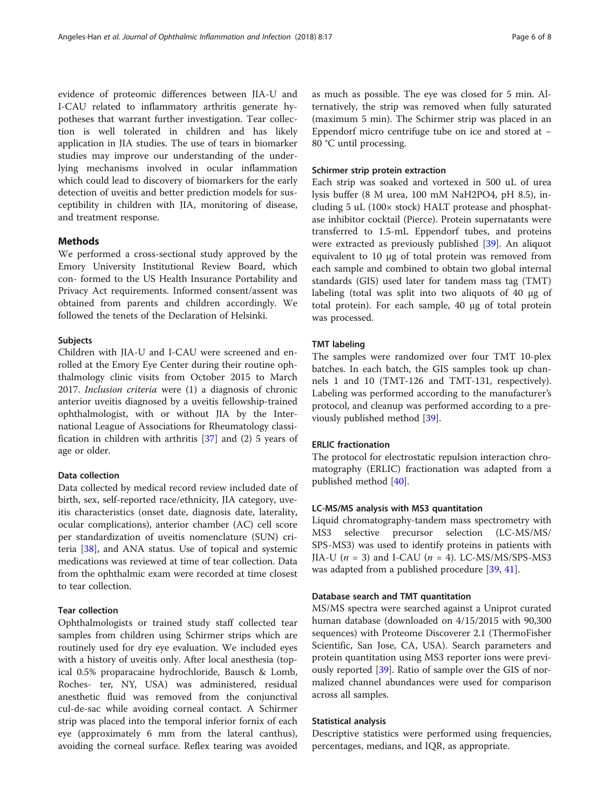evidence of proteomic differences between JIA-U and I-CAU related to inflammatory arthritis generate hypotheses that warrant further investigation. Tear collection is well tolerated in children and has likely application in JIA studies. The use of tears in biomarker studies may improve our understanding of the underlying mechanisms involved in ocular inflammation which could lead to discovery of biomarkers for the early detection of uveitis and better prediction models for susceptibility in children with JIA, monitoring of disease, and treatment response.

## Methods

We performed a cross-sectional study approved by the Emory University Institutional Review Board, which con- formed to the US Health Insurance Portability and Privacy Act requirements. Informed consent/assent was obtained from parents and children accordingly. We followed the tenets of the Declaration of Helsinki.

## Subjects

Children with JIA-U and I-CAU were screened and enrolled at the Emory Eye Center during their routine ophthalmology clinic visits from October 2015 to March 2017. Inclusion criteria were (1) a diagnosis of chronic anterior uveitis diagnosed by a uveitis fellowship-trained ophthalmologist, with or without JIA by the International League of Associations for Rheumatology classification in children with arthritis [[37\]](#page-7-0) and (2) 5 years of age or older.

## Data collection

Data collected by medical record review included date of birth, sex, self-reported race/ethnicity, JIA category, uveitis characteristics (onset date, diagnosis date, laterality, ocular complications), anterior chamber (AC) cell score per standardization of uveitis nomenclature (SUN) criteria [[38\]](#page-7-0), and ANA status. Use of topical and systemic medications was reviewed at time of tear collection. Data from the ophthalmic exam were recorded at time closest to tear collection.

## Tear collection

Ophthalmologists or trained study staff collected tear samples from children using Schirmer strips which are routinely used for dry eye evaluation. We included eyes with a history of uveitis only. After local anesthesia (topical 0.5% proparacaine hydrochloride, Bausch & Lomb, Roches- ter, NY, USA) was administered, residual anesthetic fluid was removed from the conjunctival cul-de-sac while avoiding corneal contact. A Schirmer strip was placed into the temporal inferior fornix of each eye (approximately 6 mm from the lateral canthus), avoiding the corneal surface. Reflex tearing was avoided

as much as possible. The eye was closed for 5 min. Alternatively, the strip was removed when fully saturated (maximum 5 min). The Schirmer strip was placed in an Eppendorf micro centrifuge tube on ice and stored at − 80 °C until processing.

#### Schirmer strip protein extraction

Each strip was soaked and vortexed in 500 uL of urea lysis buffer (8 M urea, 100 mM NaH2PO4, pH 8.5), including 5 uL (100× stock) HALT protease and phosphatase inhibitor cocktail (Pierce). Protein supernatants were transferred to 1.5-mL Eppendorf tubes, and proteins were extracted as previously published [[39](#page-7-0)]. An aliquot equivalent to 10 μg of total protein was removed from each sample and combined to obtain two global internal standards (GIS) used later for tandem mass tag (TMT) labeling (total was split into two aliquots of 40 μg of total protein). For each sample, 40 μg of total protein was processed.

## TMT labeling

The samples were randomized over four TMT 10-plex batches. In each batch, the GIS samples took up channels 1 and 10 (TMT-126 and TMT-131, respectively). Labeling was performed according to the manufacturer's protocol, and cleanup was performed according to a previously published method [[39\]](#page-7-0).

## ERLIC fractionation

The protocol for electrostatic repulsion interaction chromatography (ERLIC) fractionation was adapted from a published method [[40](#page-7-0)].

## LC-MS/MS analysis with MS3 quantitation

Liquid chromatography-tandem mass spectrometry with MS3 selective precursor selection (LC-MS/MS/ SPS-MS3) was used to identify proteins in patients with JIA-U ( $n = 3$ ) and I-CAU ( $n = 4$ ). LC-MS/MS/SPS-MS3 was adapted from a published procedure [[39,](#page-7-0) [41\]](#page-7-0).

## Database search and TMT quantitation

MS/MS spectra were searched against a Uniprot curated human database (downloaded on 4/15/2015 with 90,300 sequences) with Proteome Discoverer 2.1 (ThermoFisher Scientific, San Jose, CA, USA). Search parameters and protein quantitation using MS3 reporter ions were previously reported [[39\]](#page-7-0). Ratio of sample over the GIS of normalized channel abundances were used for comparison across all samples.

#### Statistical analysis

Descriptive statistics were performed using frequencies, percentages, medians, and IQR, as appropriate.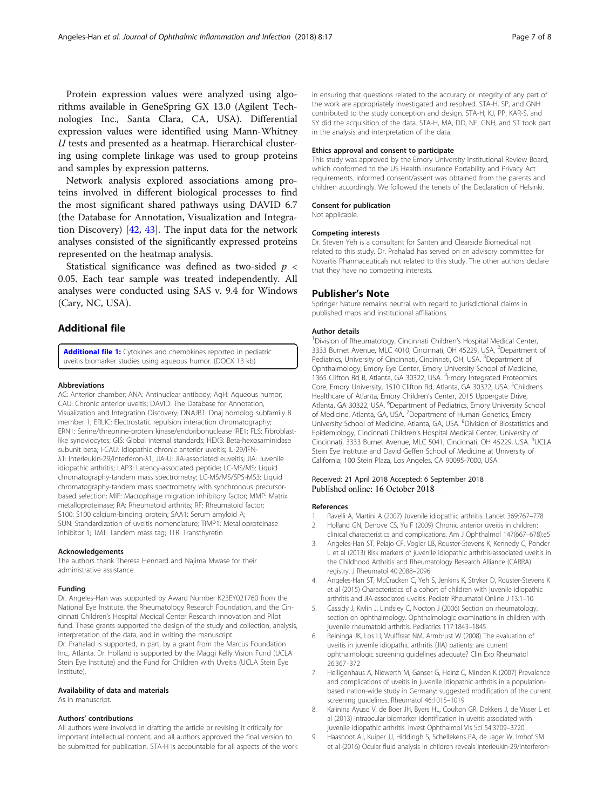<span id="page-6-0"></span>Protein expression values were analyzed using algorithms available in GeneSpring GX 13.0 (Agilent Technologies Inc., Santa Clara, CA, USA). Differential expression values were identified using Mann-Whitney U tests and presented as a heatmap. Hierarchical clustering using complete linkage was used to group proteins and samples by expression patterns.

Network analysis explored associations among proteins involved in different biological processes to find the most significant shared pathways using DAVID 6.7 (the Database for Annotation, Visualization and Integration Discovery) [\[42](#page-7-0), [43](#page-7-0)]. The input data for the network analyses consisted of the significantly expressed proteins represented on the heatmap analysis.

Statistical significance was defined as two-sided  $p <$ 0.05. Each tear sample was treated independently. All analyses were conducted using SAS v. 9.4 for Windows (Cary, NC, USA).

## Additional file

[Additional file 1:](https://doi.org/10.1186/s12348-018-0156-5) Cytokines and chemokines reported in pediatric uveitis biomarker studies using aqueous humor. (DOCX 13 kb)

#### Abbreviations

AC: Anterior chamber; ANA: Antinuclear antibody; AqH: Aqueous humor; CAU: Chronic anterior uveitis; DAVID: The Database for Annotation, Visualization and Integration Discovery; DNAJB1: Dnaj homolog subfamily B member 1; ERLIC: Electrostatic repulsion interaction chromatography; ERN1: Serine/threonine-protein kinase/endoribonuclease IRE1; FLS: Fibroblastlike synoviocytes; GIS: Global internal standards; HEXB: Beta-hexosaminidase subunit beta; I-CAU: Idiopathic chronic anterior uveitis; IL-29/IFNλ1: Interleukin-29/interferon-λ1; JIA-U: JIA-associated euveitis; JIA: Juvenile idiopathic arthritis; LAP3: Latency-associated peptide; LC-MS/MS: Liquid chromatography-tandem mass spectrometry; LC-MS/MS/SPS-MS3: Liquid chromatography-tandem mass spectrometry with synchronous precursorbased selection; MIF: Macrophage migration inhibitory factor; MMP: Matrix metalloproteinase; RA: Rheumatoid arthritis; RF: Rheumatoid factor; S100: S100 calcium-binding protein; SAA1: Serum amyloid A; SUN: Standardization of uveitis nomenclature; TIMP1: Metalloproteinase inhibitor 1; TMT: Tandem mass tag; TTR: Transthyretin

#### Acknowledgements

The authors thank Theresa Hennard and Najima Mwase for their administrative assistance.

#### Funding

Dr. Angeles-Han was supported by Award Number K23EY021760 from the National Eye Institute, the Rheumatology Research Foundation, and the Cincinnati Children's Hospital Medical Center Research Innovation and Pilot fund. These grants supported the design of the study and collection, analysis, interpretation of the data, and in writing the manuscript. Dr. Prahalad is supported, in part, by a grant from the Marcus Foundation Inc., Atlanta. Dr. Holland is supported by the Maggi Kelly Vision Fund (UCLA Stein Eye Institute) and the Fund for Children with Uveitis (UCLA Stein Eye Institute).

#### Availability of data and materials

As in manuscript.

#### Authors' contributions

All authors were involved in drafting the article or revising it critically for important intellectual content, and all authors approved the final version to be submitted for publication. STA-H is accountable for all aspects of the work in ensuring that questions related to the accuracy or integrity of any part of the work are appropriately investigated and resolved. STA-H, SP, and GNH contributed to the study conception and design. STA-H, KJ, PP, KAR-S, and SY did the acquisition of the data. STA-H, MA, DD, NF, GNH, and ST took part in the analysis and interpretation of the data.

#### Ethics approval and consent to participate

This study was approved by the Emory University Institutional Review Board, which conformed to the US Health Insurance Portability and Privacy Act requirements. Informed consent/assent was obtained from the parents and children accordingly. We followed the tenets of the Declaration of Helsinki.

### Consent for publication

Not applicable.

#### Competing interests

Dr. Steven Yeh is a consultant for Santen and Clearside Biomedical not related to this study. Dr. Prahalad has served on an advisory committee for Novartis Pharmaceuticals not related to this study. The other authors declare that they have no competing interests.

#### Publisher's Note

Springer Nature remains neutral with regard to jurisdictional claims in published maps and institutional affiliations.

#### Author details

<sup>1</sup> Division of Rheumatology, Cincinnati Children's Hospital Medical Center 3333 Burnet Avenue, MLC 4010, Cincinnati, OH 45229, USA. <sup>2</sup> Department of Pediatrics, University of Cincinnati, Cincinnati, OH, USA. <sup>3</sup>Department of Ophthalmology, Emory Eye Center, Emory University School of Medicine, 1365 Clifton Rd B, Atlanta, GA 30322, USA. <sup>4</sup> Emory Integrated Proteomics Core, Emory University, 1510 Clifton Rd, Atlanta, GA 30322, USA. <sup>5</sup>Childrens Healthcare of Atlanta, Emory Children's Center, 2015 Uppergate Drive, Atlanta, GA 30322, USA. <sup>6</sup>Department of Pediatrics, Emory University School of Medicine, Atlanta, GA, USA. <sup>7</sup> Department of Human Genetics, Emory University School of Medicine, Atlanta, GA, USA. <sup>8</sup>Division of Biostatistics and Epidemiology, Cincinnati Children's Hospital Medical Center, University of Cincinnati, 3333 Burnet Avenue, MLC 5041, Cincinnati, OH 45229, USA. <sup>9</sup>UCLA Stein Eye Institute and David Geffen School of Medicine at University of California, 100 Stein Plaza, Los Angeles, CA 90095-7000, USA.

#### Received: 21 April 2018 Accepted: 6 September 2018 Published online: 16 October 2018

#### References

- Ravelli A, Martini A (2007) Juvenile idiopathic arthritis. Lancet 369:767–778 2. Holland GN, Denove CS, Yu F (2009) Chronic anterior uveitis in children:
- clinical characteristics and complications. Am J Ophthalmol 147(667–678):e5 3. Angeles-Han ST, Pelajo CF, Vogler LB, Rouster-Stevens K, Kennedy C, Ponder
- L et al (2013) Risk markers of juvenile idiopathic arthritis-associated uveitis in the Childhood Arthritis and Rheumatology Research Alliance (CARRA) registry. J Rheumatol 40:2088–2096
- 4. Angeles-Han ST, McCracken C, Yeh S, Jenkins K, Stryker D, Rouster-Stevens K et al (2015) Characteristics of a cohort of children with juvenile idiopathic arthritis and JIA-associated uveitis. Pediatr Rheumatol Online J 13:1–10
- 5. Cassidy J, Kivlin J, Lindsley C, Nocton J (2006) Section on rheumatology, section on ophthalmology. Ophthalmologic examinations in children with juvenile rheumatoid arthritis. Pediatrics 117:1843–1845
- Reininga JK, Los LI, Wulffraat NM, Armbrust W (2008) The evaluation of uveitis in juvenile idiopathic arthritis (JIA) patients: are current ophthalmologic screening guidelines adequate? Clin Exp Rheumatol 26:367–372
- 7. Heiligenhaus A, Niewerth M, Ganser G, Heinz C, Minden K (2007) Prevalence and complications of uveitis in juvenile idiopathic arthritis in a populationbased nation-wide study in Germany: suggested modification of the current screening guidelines. Rheumatol 46:1015–1019
- 8. Kalinina Ayuso V, de Boer JH, Byers HL, Coulton GR, Dekkers J, de Visser L et al (2013) Intraocular biomarker identification in uveitis associated with juvenile idiopathic arthritis. Invest Ophthalmol Vis Sci 54:3709–3720
- 9. Haasnoot AJ, Kuiper JJ, Hiddingh S, Schellekens PA, de Jager W, Imhof SM et al (2016) Ocular fluid analysis in children reveals interleukin-29/interferon-